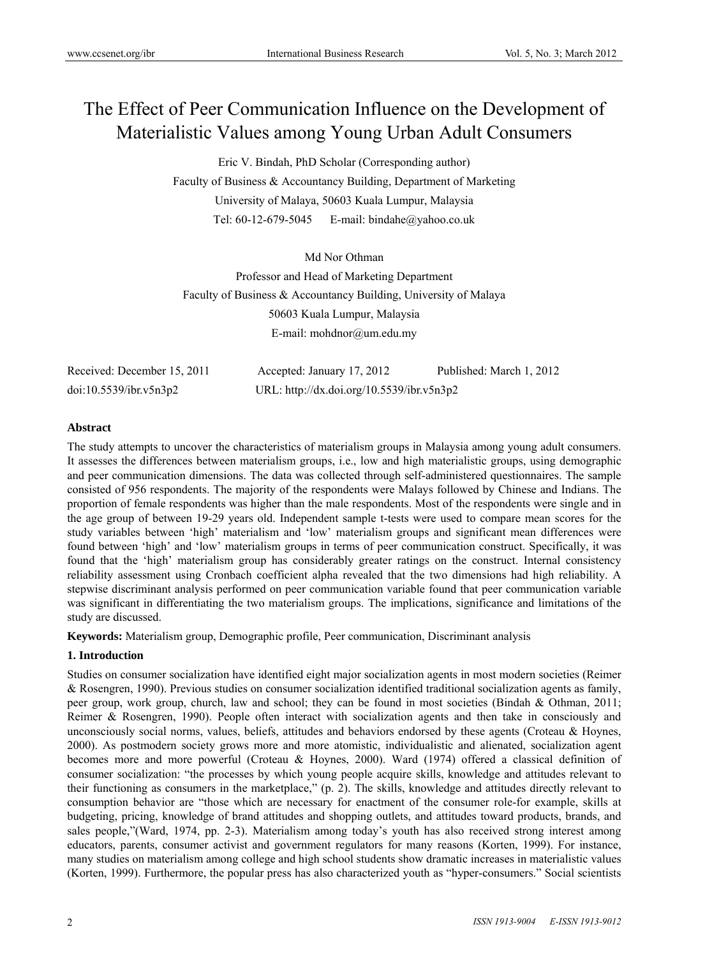# The Effect of Peer Communication Influence on the Development of Materialistic Values among Young Urban Adult Consumers

Eric V. Bindah, PhD Scholar (Corresponding author)

Faculty of Business & Accountancy Building, Department of Marketing University of Malaya, 50603 Kuala Lumpur, Malaysia Tel: 60-12-679-5045 E-mail: bindahe@yahoo.co.uk

Md Nor Othman Professor and Head of Marketing Department Faculty of Business & Accountancy Building, University of Malaya 50603 Kuala Lumpur, Malaysia E-mail: mohdnor@um.edu.my

| Received: December 15, 2011 | Accepted: January 17, 2012                | Published: March 1, 2012 |
|-----------------------------|-------------------------------------------|--------------------------|
| doi:10.5539/ibr.v5n3p2      | URL: http://dx.doi.org/10.5539/ibr.v5n3p2 |                          |

## **Abstract**

The study attempts to uncover the characteristics of materialism groups in Malaysia among young adult consumers. It assesses the differences between materialism groups, i.e., low and high materialistic groups, using demographic and peer communication dimensions. The data was collected through self-administered questionnaires. The sample consisted of 956 respondents. The majority of the respondents were Malays followed by Chinese and Indians. The proportion of female respondents was higher than the male respondents. Most of the respondents were single and in the age group of between 19-29 years old. Independent sample t-tests were used to compare mean scores for the study variables between 'high' materialism and 'low' materialism groups and significant mean differences were found between 'high' and 'low' materialism groups in terms of peer communication construct. Specifically, it was found that the 'high' materialism group has considerably greater ratings on the construct. Internal consistency reliability assessment using Cronbach coefficient alpha revealed that the two dimensions had high reliability. A stepwise discriminant analysis performed on peer communication variable found that peer communication variable was significant in differentiating the two materialism groups. The implications, significance and limitations of the study are discussed.

**Keywords:** Materialism group, Demographic profile, Peer communication, Discriminant analysis

# **1. Introduction**

Studies on consumer socialization have identified eight major socialization agents in most modern societies (Reimer & Rosengren, 1990). Previous studies on consumer socialization identified traditional socialization agents as family, peer group, work group, church, law and school; they can be found in most societies (Bindah & Othman, 2011; Reimer & Rosengren, 1990). People often interact with socialization agents and then take in consciously and unconsciously social norms, values, beliefs, attitudes and behaviors endorsed by these agents (Croteau & Hoynes, 2000). As postmodern society grows more and more atomistic, individualistic and alienated, socialization agent becomes more and more powerful (Croteau & Hoynes, 2000). Ward (1974) offered a classical definition of consumer socialization: "the processes by which young people acquire skills, knowledge and attitudes relevant to their functioning as consumers in the marketplace," (p. 2). The skills, knowledge and attitudes directly relevant to consumption behavior are "those which are necessary for enactment of the consumer role-for example, skills at budgeting, pricing, knowledge of brand attitudes and shopping outlets, and attitudes toward products, brands, and sales people,"(Ward, 1974, pp. 2-3). Materialism among today's youth has also received strong interest among educators, parents, consumer activist and government regulators for many reasons (Korten, 1999). For instance, many studies on materialism among college and high school students show dramatic increases in materialistic values (Korten, 1999). Furthermore, the popular press has also characterized youth as "hyper-consumers." Social scientists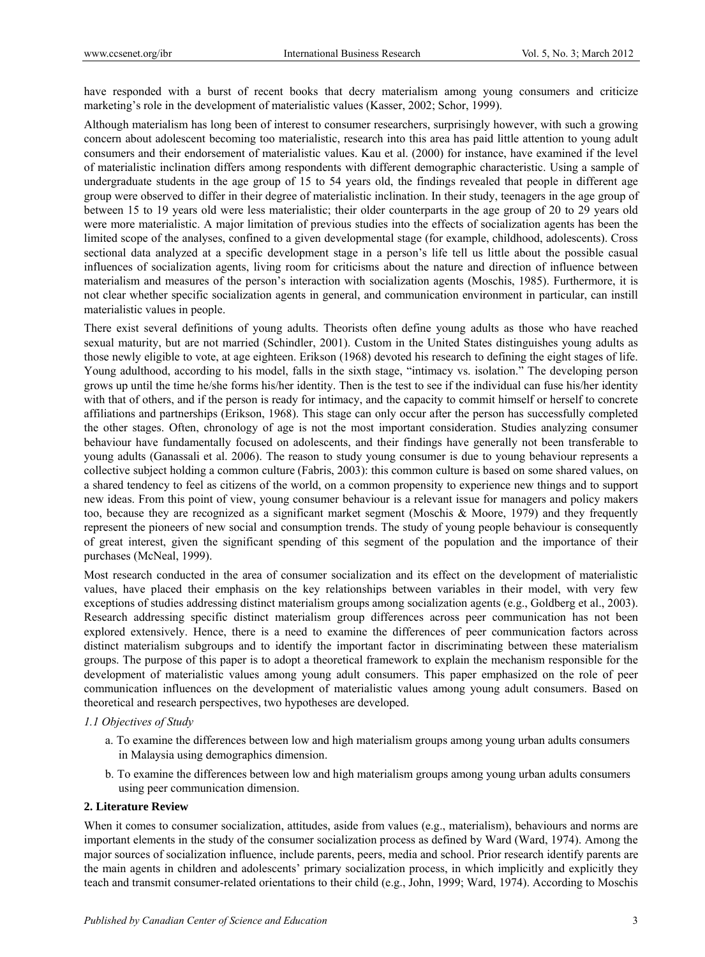have responded with a burst of recent books that decry materialism among young consumers and criticize marketing's role in the development of materialistic values (Kasser, 2002; Schor, 1999).

Although materialism has long been of interest to consumer researchers, surprisingly however, with such a growing concern about adolescent becoming too materialistic, research into this area has paid little attention to young adult consumers and their endorsement of materialistic values. Kau et al. (2000) for instance, have examined if the level of materialistic inclination differs among respondents with different demographic characteristic. Using a sample of undergraduate students in the age group of 15 to 54 years old, the findings revealed that people in different age group were observed to differ in their degree of materialistic inclination. In their study, teenagers in the age group of between 15 to 19 years old were less materialistic; their older counterparts in the age group of 20 to 29 years old were more materialistic. A major limitation of previous studies into the effects of socialization agents has been the limited scope of the analyses, confined to a given developmental stage (for example, childhood, adolescents). Cross sectional data analyzed at a specific development stage in a person's life tell us little about the possible casual influences of socialization agents, living room for criticisms about the nature and direction of influence between materialism and measures of the person's interaction with socialization agents (Moschis, 1985). Furthermore, it is not clear whether specific socialization agents in general, and communication environment in particular, can instill materialistic values in people.

There exist several definitions of young adults. Theorists often define young adults as those who have reached sexual maturity, but are not married (Schindler, 2001). Custom in the United States distinguishes young adults as those newly eligible to vote, at age eighteen. Erikson (1968) devoted his research to defining the eight stages of life. Young adulthood, according to his model, falls in the sixth stage, "intimacy vs. isolation." The developing person grows up until the time he/she forms his/her identity. Then is the test to see if the individual can fuse his/her identity with that of others, and if the person is ready for intimacy, and the capacity to commit himself or herself to concrete affiliations and partnerships (Erikson, 1968). This stage can only occur after the person has successfully completed the other stages. Often, chronology of age is not the most important consideration. Studies analyzing consumer behaviour have fundamentally focused on adolescents, and their findings have generally not been transferable to young adults (Ganassali et al. 2006). The reason to study young consumer is due to young behaviour represents a collective subject holding a common culture (Fabris, 2003): this common culture is based on some shared values, on a shared tendency to feel as citizens of the world, on a common propensity to experience new things and to support new ideas. From this point of view, young consumer behaviour is a relevant issue for managers and policy makers too, because they are recognized as a significant market segment (Moschis & Moore, 1979) and they frequently represent the pioneers of new social and consumption trends. The study of young people behaviour is consequently of great interest, given the significant spending of this segment of the population and the importance of their purchases (McNeal, 1999).

Most research conducted in the area of consumer socialization and its effect on the development of materialistic values, have placed their emphasis on the key relationships between variables in their model, with very few exceptions of studies addressing distinct materialism groups among socialization agents (e.g., Goldberg et al., 2003). Research addressing specific distinct materialism group differences across peer communication has not been explored extensively. Hence, there is a need to examine the differences of peer communication factors across distinct materialism subgroups and to identify the important factor in discriminating between these materialism groups. The purpose of this paper is to adopt a theoretical framework to explain the mechanism responsible for the development of materialistic values among young adult consumers. This paper emphasized on the role of peer communication influences on the development of materialistic values among young adult consumers. Based on theoretical and research perspectives, two hypotheses are developed.

#### *1.1 Objectives of Study*

- a. To examine the differences between low and high materialism groups among young urban adults consumers in Malaysia using demographics dimension.
- b. To examine the differences between low and high materialism groups among young urban adults consumers using peer communication dimension.

## **2. Literature Review**

When it comes to consumer socialization, attitudes, aside from values (e.g., materialism), behaviours and norms are important elements in the study of the consumer socialization process as defined by Ward (Ward, 1974). Among the major sources of socialization influence, include parents, peers, media and school. Prior research identify parents are the main agents in children and adolescents' primary socialization process, in which implicitly and explicitly they teach and transmit consumer-related orientations to their child (e.g., John, 1999; Ward, 1974). According to Moschis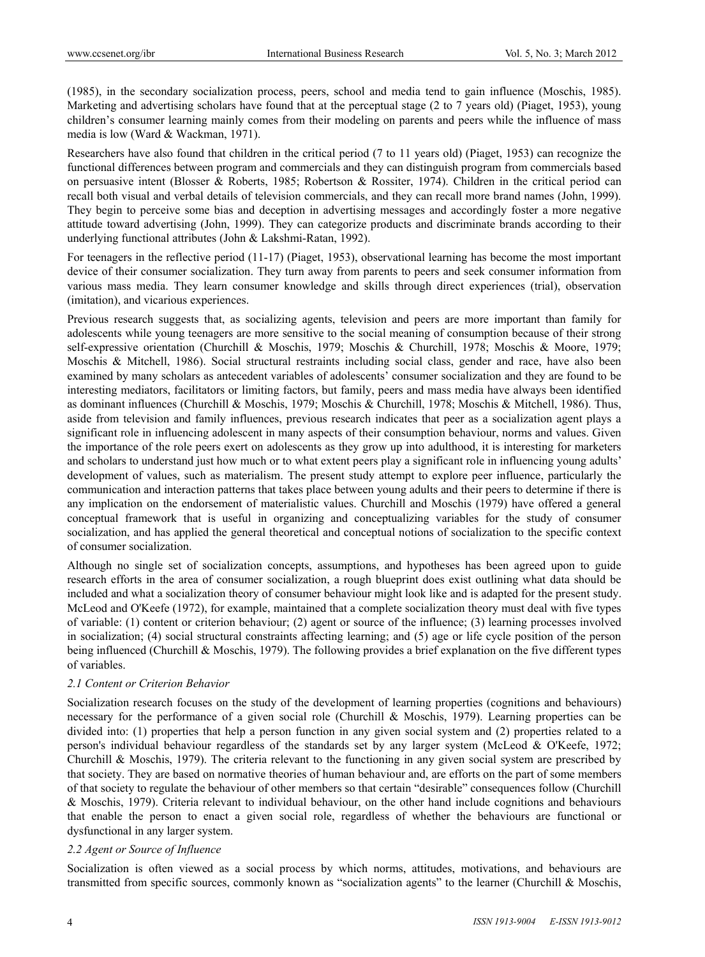(1985), in the secondary socialization process, peers, school and media tend to gain influence (Moschis, 1985). Marketing and advertising scholars have found that at the perceptual stage (2 to 7 years old) (Piaget, 1953), young children's consumer learning mainly comes from their modeling on parents and peers while the influence of mass media is low (Ward & Wackman, 1971).

Researchers have also found that children in the critical period (7 to 11 years old) (Piaget, 1953) can recognize the functional differences between program and commercials and they can distinguish program from commercials based on persuasive intent (Blosser & Roberts, 1985; Robertson & Rossiter, 1974). Children in the critical period can recall both visual and verbal details of television commercials, and they can recall more brand names (John, 1999). They begin to perceive some bias and deception in advertising messages and accordingly foster a more negative attitude toward advertising (John, 1999). They can categorize products and discriminate brands according to their underlying functional attributes (John & Lakshmi-Ratan, 1992).

For teenagers in the reflective period (11-17) (Piaget, 1953), observational learning has become the most important device of their consumer socialization. They turn away from parents to peers and seek consumer information from various mass media. They learn consumer knowledge and skills through direct experiences (trial), observation (imitation), and vicarious experiences.

Previous research suggests that, as socializing agents, television and peers are more important than family for adolescents while young teenagers are more sensitive to the social meaning of consumption because of their strong self-expressive orientation (Churchill & Moschis, 1979; Moschis & Churchill, 1978; Moschis & Moore, 1979; Moschis & Mitchell, 1986). Social structural restraints including social class, gender and race, have also been examined by many scholars as antecedent variables of adolescents' consumer socialization and they are found to be interesting mediators, facilitators or limiting factors, but family, peers and mass media have always been identified as dominant influences (Churchill & Moschis, 1979; Moschis & Churchill, 1978; Moschis & Mitchell, 1986). Thus, aside from television and family influences, previous research indicates that peer as a socialization agent plays a significant role in influencing adolescent in many aspects of their consumption behaviour, norms and values. Given the importance of the role peers exert on adolescents as they grow up into adulthood, it is interesting for marketers and scholars to understand just how much or to what extent peers play a significant role in influencing young adults' development of values, such as materialism. The present study attempt to explore peer influence, particularly the communication and interaction patterns that takes place between young adults and their peers to determine if there is any implication on the endorsement of materialistic values. Churchill and Moschis (1979) have offered a general conceptual framework that is useful in organizing and conceptualizing variables for the study of consumer socialization, and has applied the general theoretical and conceptual notions of socialization to the specific context of consumer socialization.

Although no single set of socialization concepts, assumptions, and hypotheses has been agreed upon to guide research efforts in the area of consumer socialization, a rough blueprint does exist outlining what data should be included and what a socialization theory of consumer behaviour might look like and is adapted for the present study. McLeod and O'Keefe (1972), for example, maintained that a complete socialization theory must deal with five types of variable: (1) content or criterion behaviour; (2) agent or source of the influence; (3) learning processes involved in socialization; (4) social structural constraints affecting learning; and (5) age or life cycle position of the person being influenced (Churchill & Moschis, 1979). The following provides a brief explanation on the five different types of variables.

#### *2.1 Content or Criterion Behavior*

Socialization research focuses on the study of the development of learning properties (cognitions and behaviours) necessary for the performance of a given social role (Churchill & Moschis, 1979). Learning properties can be divided into: (1) properties that help a person function in any given social system and (2) properties related to a person's individual behaviour regardless of the standards set by any larger system (McLeod & O'Keefe, 1972; Churchill & Moschis, 1979). The criteria relevant to the functioning in any given social system are prescribed by that society. They are based on normative theories of human behaviour and, are efforts on the part of some members of that society to regulate the behaviour of other members so that certain "desirable" consequences follow (Churchill & Moschis, 1979). Criteria relevant to individual behaviour, on the other hand include cognitions and behaviours that enable the person to enact a given social role, regardless of whether the behaviours are functional or dysfunctional in any larger system.

## *2.2 Agent or Source of Influence*

Socialization is often viewed as a social process by which norms, attitudes, motivations, and behaviours are transmitted from specific sources, commonly known as "socialization agents" to the learner (Churchill & Moschis,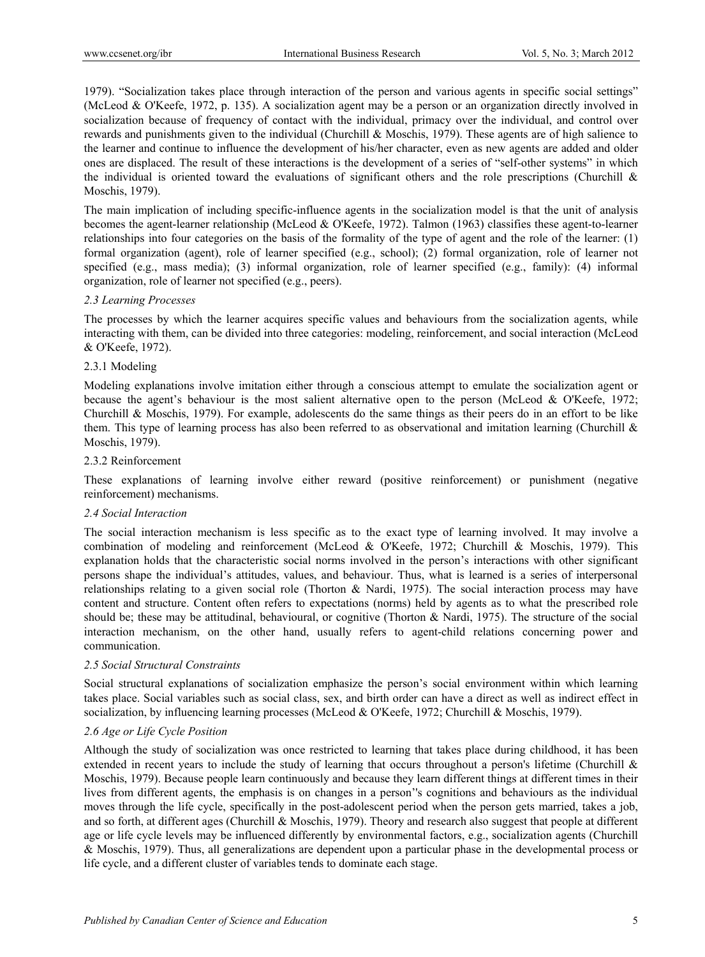1979). "Socialization takes place through interaction of the person and various agents in specific social settings" (McLeod & O'Keefe, 1972, p. 135). A socialization agent may be a person or an organization directly involved in socialization because of frequency of contact with the individual, primacy over the individual, and control over rewards and punishments given to the individual (Churchill & Moschis, 1979). These agents are of high salience to the learner and continue to influence the development of his/her character, even as new agents are added and older ones are displaced. The result of these interactions is the development of a series of "self-other systems" in which the individual is oriented toward the evaluations of significant others and the role prescriptions (Churchill  $\&$ Moschis, 1979).

The main implication of including specific-influence agents in the socialization model is that the unit of analysis becomes the agent-learner relationship (McLeod & O'Keefe, 1972). Talmon (1963) classifies these agent-to-learner relationships into four categories on the basis of the formality of the type of agent and the role of the learner: (1) formal organization (agent), role of learner specified (e.g., school); (2) formal organization, role of learner not specified (e.g., mass media); (3) informal organization, role of learner specified (e.g., family): (4) informal organization, role of learner not specified (e.g., peers).

## *2.3 Learning Processes*

The processes by which the learner acquires specific values and behaviours from the socialization agents, while interacting with them, can be divided into three categories: modeling, reinforcement, and social interaction (McLeod & O'Keefe, 1972).

## 2.3.1 Modeling

Modeling explanations involve imitation either through a conscious attempt to emulate the socialization agent or because the agent's behaviour is the most salient alternative open to the person (McLeod & O'Keefe, 1972; Churchill & Moschis, 1979). For example, adolescents do the same things as their peers do in an effort to be like them. This type of learning process has also been referred to as observational and imitation learning (Churchill  $\&$ Moschis, 1979).

## 2.3.2 Reinforcement

These explanations of learning involve either reward (positive reinforcement) or punishment (negative reinforcement) mechanisms.

## *2.4 Social Interaction*

The social interaction mechanism is less specific as to the exact type of learning involved. It may involve a combination of modeling and reinforcement (McLeod & O'Keefe, 1972; Churchill & Moschis, 1979). This explanation holds that the characteristic social norms involved in the person's interactions with other significant persons shape the individual's attitudes, values, and behaviour. Thus, what is learned is a series of interpersonal relationships relating to a given social role (Thorton & Nardi, 1975). The social interaction process may have content and structure. Content often refers to expectations (norms) held by agents as to what the prescribed role should be; these may be attitudinal, behavioural, or cognitive (Thorton & Nardi, 1975). The structure of the social interaction mechanism, on the other hand, usually refers to agent-child relations concerning power and communication.

## *2.5 Social Structural Constraints*

Social structural explanations of socialization emphasize the person's social environment within which learning takes place. Social variables such as social class, sex, and birth order can have a direct as well as indirect effect in socialization, by influencing learning processes (McLeod & O'Keefe, 1972; Churchill & Moschis, 1979).

# *2.6 Age or Life Cycle Position*

Although the study of socialization was once restricted to learning that takes place during childhood, it has been extended in recent years to include the study of learning that occurs throughout a person's lifetime (Churchill  $\&$ Moschis, 1979). Because people learn continuously and because they learn different things at different times in their lives from different agents, the emphasis is on changes in a person''s cognitions and behaviours as the individual moves through the life cycle, specifically in the post-adolescent period when the person gets married, takes a job, and so forth, at different ages (Churchill & Moschis, 1979). Theory and research also suggest that people at different age or life cycle levels may be influenced differently by environmental factors, e.g., socialization agents (Churchill & Moschis, 1979). Thus, all generalizations are dependent upon a particular phase in the developmental process or life cycle, and a different cluster of variables tends to dominate each stage.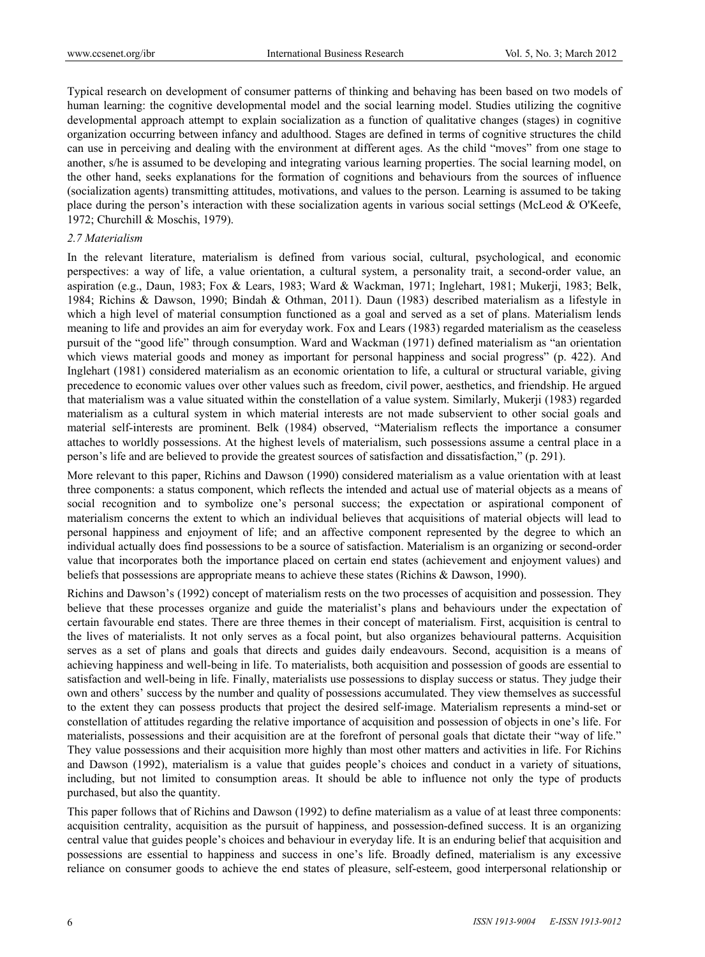Typical research on development of consumer patterns of thinking and behaving has been based on two models of human learning: the cognitive developmental model and the social learning model. Studies utilizing the cognitive developmental approach attempt to explain socialization as a function of qualitative changes (stages) in cognitive organization occurring between infancy and adulthood. Stages are defined in terms of cognitive structures the child can use in perceiving and dealing with the environment at different ages. As the child "moves" from one stage to another, s/he is assumed to be developing and integrating various learning properties. The social learning model, on the other hand, seeks explanations for the formation of cognitions and behaviours from the sources of influence (socialization agents) transmitting attitudes, motivations, and values to the person. Learning is assumed to be taking place during the person's interaction with these socialization agents in various social settings (McLeod & O'Keefe, 1972; Churchill & Moschis, 1979).

### *2.7 Materialism*

In the relevant literature, materialism is defined from various social, cultural, psychological, and economic perspectives: a way of life, a value orientation, a cultural system, a personality trait, a second-order value, an aspiration (e.g., Daun, 1983; Fox & Lears, 1983; Ward & Wackman, 1971; Inglehart, 1981; Mukerji, 1983; Belk, 1984; Richins & Dawson, 1990; Bindah & Othman, 2011). Daun (1983) described materialism as a lifestyle in which a high level of material consumption functioned as a goal and served as a set of plans. Materialism lends meaning to life and provides an aim for everyday work. Fox and Lears (1983) regarded materialism as the ceaseless pursuit of the "good life" through consumption. Ward and Wackman (1971) defined materialism as "an orientation which views material goods and money as important for personal happiness and social progress" (p. 422). And Inglehart (1981) considered materialism as an economic orientation to life, a cultural or structural variable, giving precedence to economic values over other values such as freedom, civil power, aesthetics, and friendship. He argued that materialism was a value situated within the constellation of a value system. Similarly, Mukerji (1983) regarded materialism as a cultural system in which material interests are not made subservient to other social goals and material self-interests are prominent. Belk (1984) observed, "Materialism reflects the importance a consumer attaches to worldly possessions. At the highest levels of materialism, such possessions assume a central place in a person's life and are believed to provide the greatest sources of satisfaction and dissatisfaction," (p. 291).

More relevant to this paper, Richins and Dawson (1990) considered materialism as a value orientation with at least three components: a status component, which reflects the intended and actual use of material objects as a means of social recognition and to symbolize one's personal success; the expectation or aspirational component of materialism concerns the extent to which an individual believes that acquisitions of material objects will lead to personal happiness and enjoyment of life; and an affective component represented by the degree to which an individual actually does find possessions to be a source of satisfaction. Materialism is an organizing or second-order value that incorporates both the importance placed on certain end states (achievement and enjoyment values) and beliefs that possessions are appropriate means to achieve these states (Richins & Dawson, 1990).

Richins and Dawson's (1992) concept of materialism rests on the two processes of acquisition and possession. They believe that these processes organize and guide the materialist's plans and behaviours under the expectation of certain favourable end states. There are three themes in their concept of materialism. First, acquisition is central to the lives of materialists. It not only serves as a focal point, but also organizes behavioural patterns. Acquisition serves as a set of plans and goals that directs and guides daily endeavours. Second, acquisition is a means of achieving happiness and well-being in life. To materialists, both acquisition and possession of goods are essential to satisfaction and well-being in life. Finally, materialists use possessions to display success or status. They judge their own and others' success by the number and quality of possessions accumulated. They view themselves as successful to the extent they can possess products that project the desired self-image. Materialism represents a mind-set or constellation of attitudes regarding the relative importance of acquisition and possession of objects in one's life. For materialists, possessions and their acquisition are at the forefront of personal goals that dictate their "way of life." They value possessions and their acquisition more highly than most other matters and activities in life. For Richins and Dawson (1992), materialism is a value that guides people's choices and conduct in a variety of situations, including, but not limited to consumption areas. It should be able to influence not only the type of products purchased, but also the quantity.

This paper follows that of Richins and Dawson (1992) to define materialism as a value of at least three components: acquisition centrality, acquisition as the pursuit of happiness, and possession-defined success. It is an organizing central value that guides people's choices and behaviour in everyday life. It is an enduring belief that acquisition and possessions are essential to happiness and success in one's life. Broadly defined, materialism is any excessive reliance on consumer goods to achieve the end states of pleasure, self-esteem, good interpersonal relationship or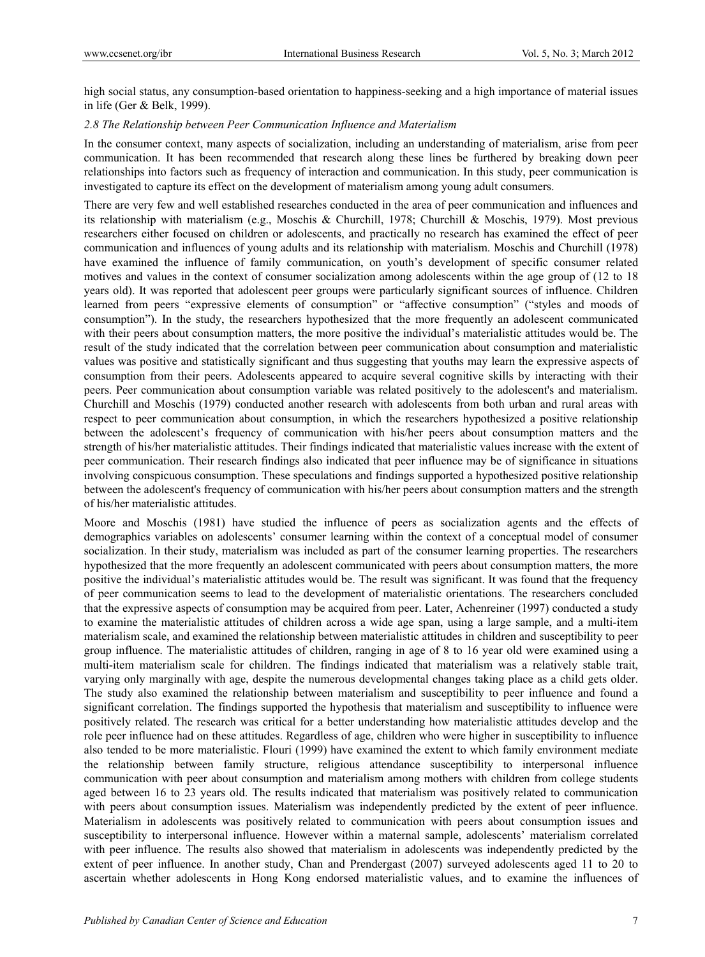high social status, any consumption-based orientation to happiness-seeking and a high importance of material issues in life (Ger & Belk, 1999).

## *2.8 The Relationship between Peer Communication Influence and Materialism*

In the consumer context, many aspects of socialization, including an understanding of materialism, arise from peer communication. It has been recommended that research along these lines be furthered by breaking down peer relationships into factors such as frequency of interaction and communication. In this study, peer communication is investigated to capture its effect on the development of materialism among young adult consumers.

There are very few and well established researches conducted in the area of peer communication and influences and its relationship with materialism (e.g., Moschis & Churchill, 1978; Churchill & Moschis, 1979). Most previous researchers either focused on children or adolescents, and practically no research has examined the effect of peer communication and influences of young adults and its relationship with materialism. Moschis and Churchill (1978) have examined the influence of family communication, on youth's development of specific consumer related motives and values in the context of consumer socialization among adolescents within the age group of (12 to 18 years old). It was reported that adolescent peer groups were particularly significant sources of influence. Children learned from peers "expressive elements of consumption" or "affective consumption" ("styles and moods of consumption"). In the study, the researchers hypothesized that the more frequently an adolescent communicated with their peers about consumption matters, the more positive the individual's materialistic attitudes would be. The result of the study indicated that the correlation between peer communication about consumption and materialistic values was positive and statistically significant and thus suggesting that youths may learn the expressive aspects of consumption from their peers. Adolescents appeared to acquire several cognitive skills by interacting with their peers. Peer communication about consumption variable was related positively to the adolescent's and materialism. Churchill and Moschis (1979) conducted another research with adolescents from both urban and rural areas with respect to peer communication about consumption, in which the researchers hypothesized a positive relationship between the adolescent's frequency of communication with his/her peers about consumption matters and the strength of his/her materialistic attitudes. Their findings indicated that materialistic values increase with the extent of peer communication. Their research findings also indicated that peer influence may be of significance in situations involving conspicuous consumption. These speculations and findings supported a hypothesized positive relationship between the adolescent's frequency of communication with his/her peers about consumption matters and the strength of his/her materialistic attitudes.

Moore and Moschis (1981) have studied the influence of peers as socialization agents and the effects of demographics variables on adolescents' consumer learning within the context of a conceptual model of consumer socialization. In their study, materialism was included as part of the consumer learning properties. The researchers hypothesized that the more frequently an adolescent communicated with peers about consumption matters, the more positive the individual's materialistic attitudes would be. The result was significant. It was found that the frequency of peer communication seems to lead to the development of materialistic orientations. The researchers concluded that the expressive aspects of consumption may be acquired from peer. Later, Achenreiner (1997) conducted a study to examine the materialistic attitudes of children across a wide age span, using a large sample, and a multi-item materialism scale, and examined the relationship between materialistic attitudes in children and susceptibility to peer group influence. The materialistic attitudes of children, ranging in age of 8 to 16 year old were examined using a multi-item materialism scale for children. The findings indicated that materialism was a relatively stable trait, varying only marginally with age, despite the numerous developmental changes taking place as a child gets older. The study also examined the relationship between materialism and susceptibility to peer influence and found a significant correlation. The findings supported the hypothesis that materialism and susceptibility to influence were positively related. The research was critical for a better understanding how materialistic attitudes develop and the role peer influence had on these attitudes. Regardless of age, children who were higher in susceptibility to influence also tended to be more materialistic. Flouri (1999) have examined the extent to which family environment mediate the relationship between family structure, religious attendance susceptibility to interpersonal influence communication with peer about consumption and materialism among mothers with children from college students aged between 16 to 23 years old. The results indicated that materialism was positively related to communication with peers about consumption issues. Materialism was independently predicted by the extent of peer influence. Materialism in adolescents was positively related to communication with peers about consumption issues and susceptibility to interpersonal influence. However within a maternal sample, adolescents' materialism correlated with peer influence. The results also showed that materialism in adolescents was independently predicted by the extent of peer influence. In another study, Chan and Prendergast (2007) surveyed adolescents aged 11 to 20 to ascertain whether adolescents in Hong Kong endorsed materialistic values, and to examine the influences of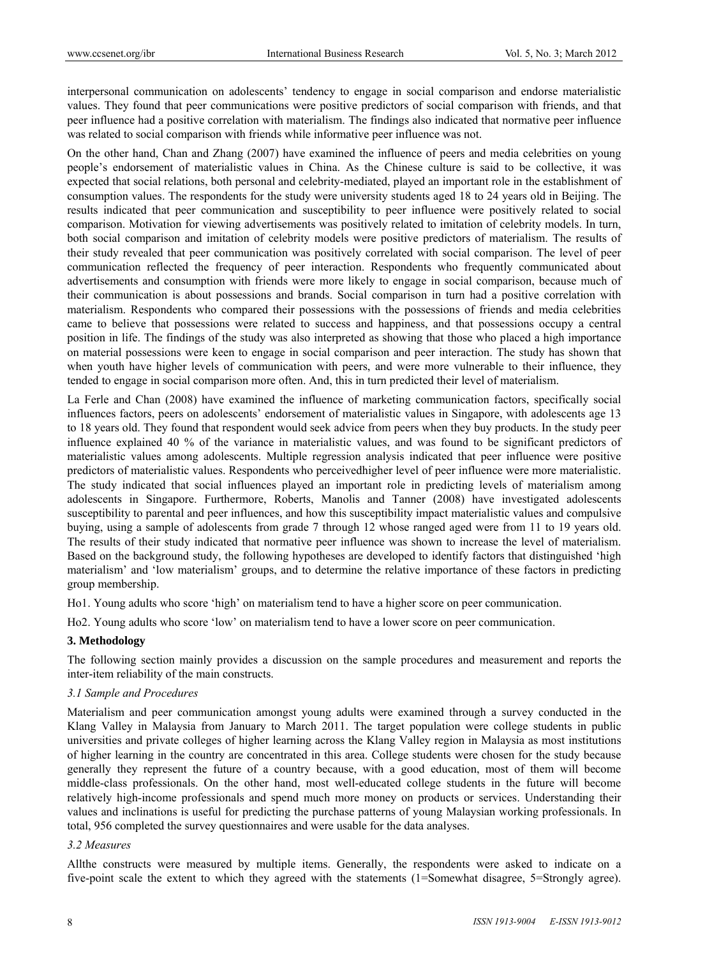interpersonal communication on adolescents' tendency to engage in social comparison and endorse materialistic values. They found that peer communications were positive predictors of social comparison with friends, and that peer influence had a positive correlation with materialism. The findings also indicated that normative peer influence was related to social comparison with friends while informative peer influence was not.

On the other hand, Chan and Zhang (2007) have examined the influence of peers and media celebrities on young people's endorsement of materialistic values in China. As the Chinese culture is said to be collective, it was expected that social relations, both personal and celebrity-mediated, played an important role in the establishment of consumption values. The respondents for the study were university students aged 18 to 24 years old in Beijing. The results indicated that peer communication and susceptibility to peer influence were positively related to social comparison. Motivation for viewing advertisements was positively related to imitation of celebrity models. In turn, both social comparison and imitation of celebrity models were positive predictors of materialism. The results of their study revealed that peer communication was positively correlated with social comparison. The level of peer communication reflected the frequency of peer interaction. Respondents who frequently communicated about advertisements and consumption with friends were more likely to engage in social comparison, because much of their communication is about possessions and brands. Social comparison in turn had a positive correlation with materialism. Respondents who compared their possessions with the possessions of friends and media celebrities came to believe that possessions were related to success and happiness, and that possessions occupy a central position in life. The findings of the study was also interpreted as showing that those who placed a high importance on material possessions were keen to engage in social comparison and peer interaction. The study has shown that when youth have higher levels of communication with peers, and were more vulnerable to their influence, they tended to engage in social comparison more often. And, this in turn predicted their level of materialism.

La Ferle and Chan (2008) have examined the influence of marketing communication factors, specifically social influences factors, peers on adolescents' endorsement of materialistic values in Singapore, with adolescents age 13 to 18 years old. They found that respondent would seek advice from peers when they buy products. In the study peer influence explained 40 % of the variance in materialistic values, and was found to be significant predictors of materialistic values among adolescents. Multiple regression analysis indicated that peer influence were positive predictors of materialistic values. Respondents who perceivedhigher level of peer influence were more materialistic. The study indicated that social influences played an important role in predicting levels of materialism among adolescents in Singapore. Furthermore, Roberts, Manolis and Tanner (2008) have investigated adolescents susceptibility to parental and peer influences, and how this susceptibility impact materialistic values and compulsive buying, using a sample of adolescents from grade 7 through 12 whose ranged aged were from 11 to 19 years old. The results of their study indicated that normative peer influence was shown to increase the level of materialism. Based on the background study, the following hypotheses are developed to identify factors that distinguished 'high materialism' and 'low materialism' groups, and to determine the relative importance of these factors in predicting group membership.

Ho1. Young adults who score 'high' on materialism tend to have a higher score on peer communication.

Ho2. Young adults who score 'low' on materialism tend to have a lower score on peer communication.

## **3. Methodology**

The following section mainly provides a discussion on the sample procedures and measurement and reports the inter-item reliability of the main constructs.

#### *3.1 Sample and Procedures*

Materialism and peer communication amongst young adults were examined through a survey conducted in the Klang Valley in Malaysia from January to March 2011. The target population were college students in public universities and private colleges of higher learning across the Klang Valley region in Malaysia as most institutions of higher learning in the country are concentrated in this area. College students were chosen for the study because generally they represent the future of a country because, with a good education, most of them will become middle-class professionals. On the other hand, most well-educated college students in the future will become relatively high-income professionals and spend much more money on products or services. Understanding their values and inclinations is useful for predicting the purchase patterns of young Malaysian working professionals. In total, 956 completed the survey questionnaires and were usable for the data analyses.

#### *3.2 Measures*

Allthe constructs were measured by multiple items. Generally, the respondents were asked to indicate on a five-point scale the extent to which they agreed with the statements (1=Somewhat disagree, 5=Strongly agree).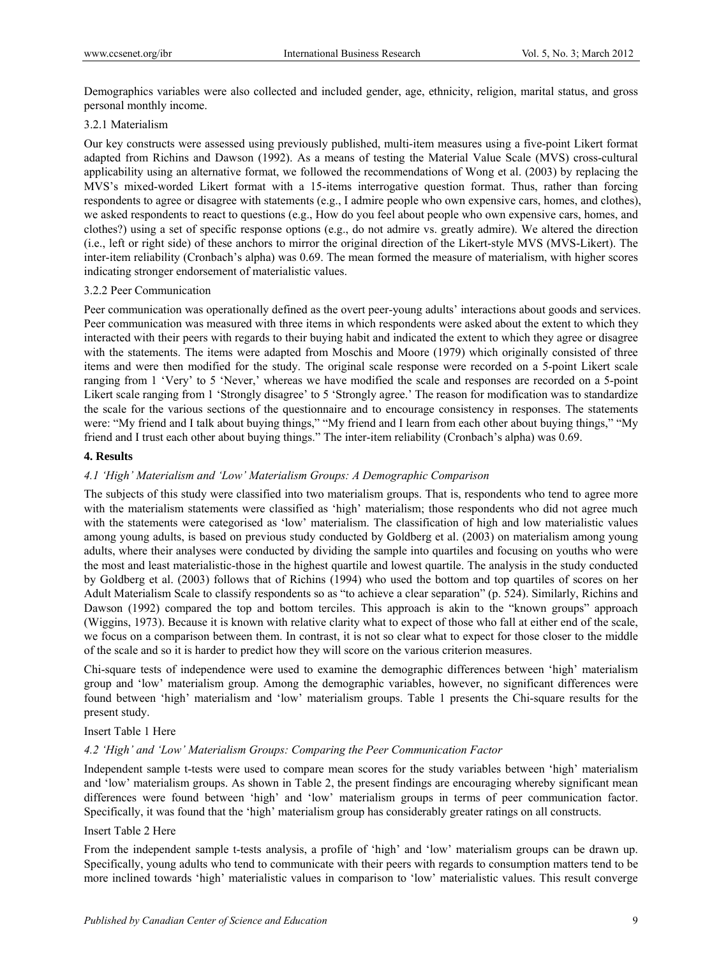Demographics variables were also collected and included gender, age, ethnicity, religion, marital status, and gross personal monthly income.

## 3.2.1 Materialism

Our key constructs were assessed using previously published, multi-item measures using a five-point Likert format adapted from Richins and Dawson (1992). As a means of testing the Material Value Scale (MVS) cross-cultural applicability using an alternative format, we followed the recommendations of Wong et al. (2003) by replacing the MVS's mixed-worded Likert format with a 15-items interrogative question format. Thus, rather than forcing respondents to agree or disagree with statements (e.g., I admire people who own expensive cars, homes, and clothes), we asked respondents to react to questions (e.g., How do you feel about people who own expensive cars, homes, and clothes?) using a set of specific response options (e.g., do not admire vs. greatly admire). We altered the direction (i.e., left or right side) of these anchors to mirror the original direction of the Likert-style MVS (MVS-Likert). The inter-item reliability (Cronbach's alpha) was 0.69. The mean formed the measure of materialism, with higher scores indicating stronger endorsement of materialistic values.

#### 3.2.2 Peer Communication

Peer communication was operationally defined as the overt peer-young adults' interactions about goods and services. Peer communication was measured with three items in which respondents were asked about the extent to which they interacted with their peers with regards to their buying habit and indicated the extent to which they agree or disagree with the statements. The items were adapted from Moschis and Moore (1979) which originally consisted of three items and were then modified for the study. The original scale response were recorded on a 5-point Likert scale ranging from 1 'Very' to 5 'Never,' whereas we have modified the scale and responses are recorded on a 5-point Likert scale ranging from 1 'Strongly disagree' to 5 'Strongly agree.' The reason for modification was to standardize the scale for the various sections of the questionnaire and to encourage consistency in responses. The statements were: "My friend and I talk about buying things," "My friend and I learn from each other about buying things," "My friend and I trust each other about buying things." The inter-item reliability (Cronbach's alpha) was 0.69.

## **4. Results**

## *4.1 'High' Materialism and 'Low' Materialism Groups: A Demographic Comparison*

The subjects of this study were classified into two materialism groups. That is, respondents who tend to agree more with the materialism statements were classified as 'high' materialism; those respondents who did not agree much with the statements were categorised as 'low' materialism. The classification of high and low materialistic values among young adults, is based on previous study conducted by Goldberg et al. (2003) on materialism among young adults, where their analyses were conducted by dividing the sample into quartiles and focusing on youths who were the most and least materialistic-those in the highest quartile and lowest quartile. The analysis in the study conducted by Goldberg et al. (2003) follows that of Richins (1994) who used the bottom and top quartiles of scores on her Adult Materialism Scale to classify respondents so as "to achieve a clear separation" (p. 524). Similarly, Richins and Dawson (1992) compared the top and bottom terciles. This approach is akin to the "known groups" approach (Wiggins, 1973). Because it is known with relative clarity what to expect of those who fall at either end of the scale, we focus on a comparison between them. In contrast, it is not so clear what to expect for those closer to the middle of the scale and so it is harder to predict how they will score on the various criterion measures.

Chi-square tests of independence were used to examine the demographic differences between 'high' materialism group and 'low' materialism group. Among the demographic variables, however, no significant differences were found between 'high' materialism and 'low' materialism groups. Table 1 presents the Chi-square results for the present study.

## Insert Table 1 Here

## *4.2 'High' and 'Low' Materialism Groups: Comparing the Peer Communication Factor*

Independent sample t-tests were used to compare mean scores for the study variables between 'high' materialism and 'low' materialism groups. As shown in Table 2, the present findings are encouraging whereby significant mean differences were found between 'high' and 'low' materialism groups in terms of peer communication factor. Specifically, it was found that the 'high' materialism group has considerably greater ratings on all constructs.

#### Insert Table 2 Here

From the independent sample t-tests analysis, a profile of 'high' and 'low' materialism groups can be drawn up. Specifically, young adults who tend to communicate with their peers with regards to consumption matters tend to be more inclined towards 'high' materialistic values in comparison to 'low' materialistic values. This result converge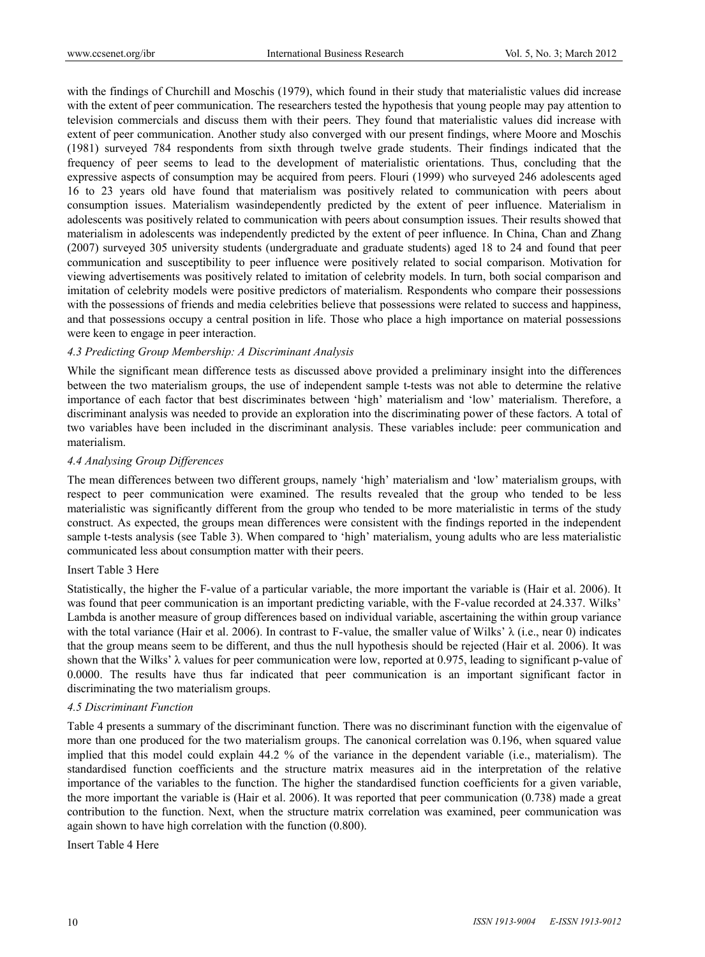with the findings of Churchill and Moschis (1979), which found in their study that materialistic values did increase with the extent of peer communication. The researchers tested the hypothesis that young people may pay attention to television commercials and discuss them with their peers. They found that materialistic values did increase with extent of peer communication. Another study also converged with our present findings, where Moore and Moschis (1981) surveyed 784 respondents from sixth through twelve grade students. Their findings indicated that the frequency of peer seems to lead to the development of materialistic orientations. Thus, concluding that the expressive aspects of consumption may be acquired from peers. Flouri (1999) who surveyed 246 adolescents aged 16 to 23 years old have found that materialism was positively related to communication with peers about consumption issues. Materialism wasindependently predicted by the extent of peer influence. Materialism in adolescents was positively related to communication with peers about consumption issues. Their results showed that materialism in adolescents was independently predicted by the extent of peer influence. In China, Chan and Zhang (2007) surveyed 305 university students (undergraduate and graduate students) aged 18 to 24 and found that peer communication and susceptibility to peer influence were positively related to social comparison. Motivation for viewing advertisements was positively related to imitation of celebrity models. In turn, both social comparison and imitation of celebrity models were positive predictors of materialism. Respondents who compare their possessions with the possessions of friends and media celebrities believe that possessions were related to success and happiness, and that possessions occupy a central position in life. Those who place a high importance on material possessions were keen to engage in peer interaction.

#### *4.3 Predicting Group Membership: A Discriminant Analysis*

While the significant mean difference tests as discussed above provided a preliminary insight into the differences between the two materialism groups, the use of independent sample t-tests was not able to determine the relative importance of each factor that best discriminates between 'high' materialism and 'low' materialism. Therefore, a discriminant analysis was needed to provide an exploration into the discriminating power of these factors. A total of two variables have been included in the discriminant analysis. These variables include: peer communication and materialism.

#### *4.4 Analysing Group Differences*

The mean differences between two different groups, namely 'high' materialism and 'low' materialism groups, with respect to peer communication were examined. The results revealed that the group who tended to be less materialistic was significantly different from the group who tended to be more materialistic in terms of the study construct. As expected, the groups mean differences were consistent with the findings reported in the independent sample t-tests analysis (see Table 3). When compared to 'high' materialism, young adults who are less materialistic communicated less about consumption matter with their peers.

#### Insert Table 3 Here

Statistically, the higher the F-value of a particular variable, the more important the variable is (Hair et al. 2006). It was found that peer communication is an important predicting variable, with the F-value recorded at 24.337. Wilks' Lambda is another measure of group differences based on individual variable, ascertaining the within group variance with the total variance (Hair et al. 2006). In contrast to F-value, the smaller value of Wilks'  $\lambda$  (i.e., near 0) indicates that the group means seem to be different, and thus the null hypothesis should be rejected (Hair et al. 2006). It was shown that the Wilks'  $\lambda$  values for peer communication were low, reported at 0.975, leading to significant p-value of 0.0000. The results have thus far indicated that peer communication is an important significant factor in discriminating the two materialism groups.

#### *4.5 Discriminant Function*

Table 4 presents a summary of the discriminant function. There was no discriminant function with the eigenvalue of more than one produced for the two materialism groups. The canonical correlation was 0.196, when squared value implied that this model could explain 44.2 % of the variance in the dependent variable (i.e., materialism). The standardised function coefficients and the structure matrix measures aid in the interpretation of the relative importance of the variables to the function. The higher the standardised function coefficients for a given variable, the more important the variable is (Hair et al. 2006). It was reported that peer communication (0.738) made a great contribution to the function. Next, when the structure matrix correlation was examined, peer communication was again shown to have high correlation with the function (0.800).

Insert Table 4 Here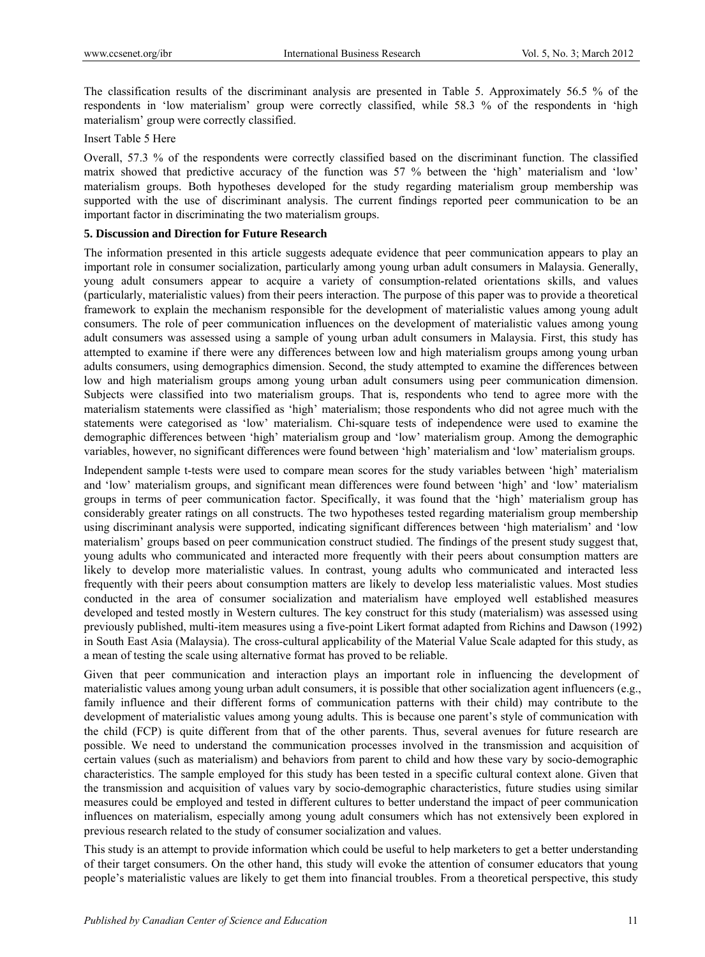The classification results of the discriminant analysis are presented in Table 5. Approximately 56.5 % of the respondents in 'low materialism' group were correctly classified, while 58.3 % of the respondents in 'high materialism' group were correctly classified.

Insert Table 5 Here

Overall, 57.3 % of the respondents were correctly classified based on the discriminant function. The classified matrix showed that predictive accuracy of the function was 57 % between the 'high' materialism and 'low' materialism groups. Both hypotheses developed for the study regarding materialism group membership was supported with the use of discriminant analysis. The current findings reported peer communication to be an important factor in discriminating the two materialism groups.

## **5. Discussion and Direction for Future Research**

The information presented in this article suggests adequate evidence that peer communication appears to play an important role in consumer socialization, particularly among young urban adult consumers in Malaysia. Generally, young adult consumers appear to acquire a variety of consumption-related orientations skills, and values (particularly, materialistic values) from their peers interaction. The purpose of this paper was to provide a theoretical framework to explain the mechanism responsible for the development of materialistic values among young adult consumers. The role of peer communication influences on the development of materialistic values among young adult consumers was assessed using a sample of young urban adult consumers in Malaysia. First, this study has attempted to examine if there were any differences between low and high materialism groups among young urban adults consumers, using demographics dimension. Second, the study attempted to examine the differences between low and high materialism groups among young urban adult consumers using peer communication dimension. Subjects were classified into two materialism groups. That is, respondents who tend to agree more with the materialism statements were classified as 'high' materialism; those respondents who did not agree much with the statements were categorised as 'low' materialism. Chi-square tests of independence were used to examine the demographic differences between 'high' materialism group and 'low' materialism group. Among the demographic variables, however, no significant differences were found between 'high' materialism and 'low' materialism groups.

Independent sample t-tests were used to compare mean scores for the study variables between 'high' materialism and 'low' materialism groups, and significant mean differences were found between 'high' and 'low' materialism groups in terms of peer communication factor. Specifically, it was found that the 'high' materialism group has considerably greater ratings on all constructs. The two hypotheses tested regarding materialism group membership using discriminant analysis were supported, indicating significant differences between 'high materialism' and 'low materialism' groups based on peer communication construct studied. The findings of the present study suggest that, young adults who communicated and interacted more frequently with their peers about consumption matters are likely to develop more materialistic values. In contrast, young adults who communicated and interacted less frequently with their peers about consumption matters are likely to develop less materialistic values. Most studies conducted in the area of consumer socialization and materialism have employed well established measures developed and tested mostly in Western cultures. The key construct for this study (materialism) was assessed using previously published, multi-item measures using a five-point Likert format adapted from Richins and Dawson (1992) in South East Asia (Malaysia). The cross-cultural applicability of the Material Value Scale adapted for this study, as a mean of testing the scale using alternative format has proved to be reliable.

Given that peer communication and interaction plays an important role in influencing the development of materialistic values among young urban adult consumers, it is possible that other socialization agent influencers (e.g., family influence and their different forms of communication patterns with their child) may contribute to the development of materialistic values among young adults. This is because one parent's style of communication with the child (FCP) is quite different from that of the other parents. Thus, several avenues for future research are possible. We need to understand the communication processes involved in the transmission and acquisition of certain values (such as materialism) and behaviors from parent to child and how these vary by socio-demographic characteristics. The sample employed for this study has been tested in a specific cultural context alone. Given that the transmission and acquisition of values vary by socio-demographic characteristics, future studies using similar measures could be employed and tested in different cultures to better understand the impact of peer communication influences on materialism, especially among young adult consumers which has not extensively been explored in previous research related to the study of consumer socialization and values.

This study is an attempt to provide information which could be useful to help marketers to get a better understanding of their target consumers. On the other hand, this study will evoke the attention of consumer educators that young people's materialistic values are likely to get them into financial troubles. From a theoretical perspective, this study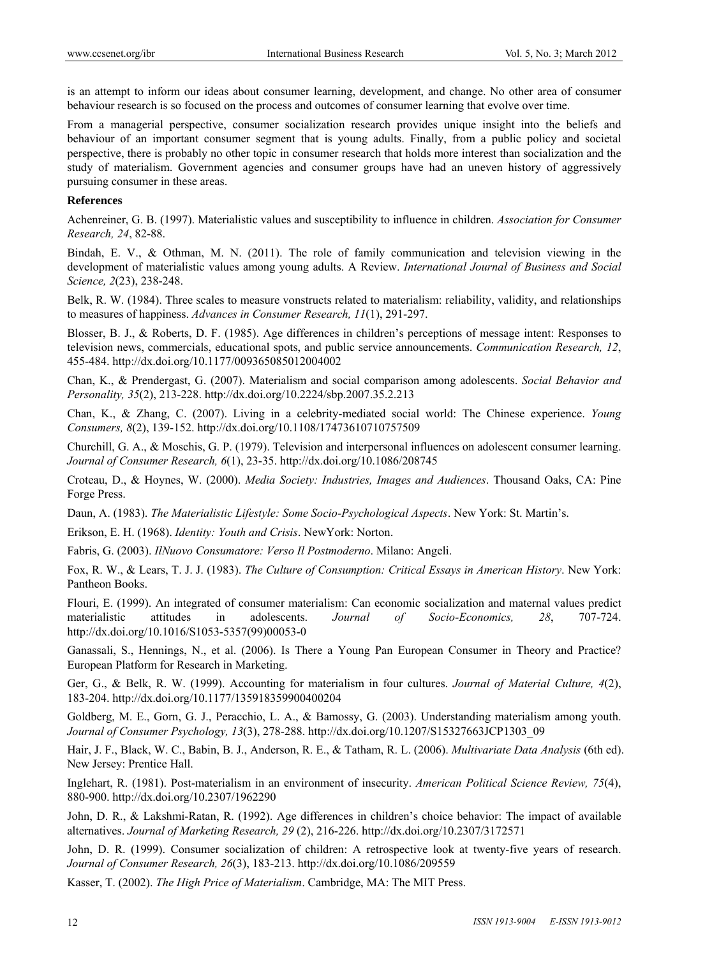is an attempt to inform our ideas about consumer learning, development, and change. No other area of consumer behaviour research is so focused on the process and outcomes of consumer learning that evolve over time.

From a managerial perspective, consumer socialization research provides unique insight into the beliefs and behaviour of an important consumer segment that is young adults. Finally, from a public policy and societal perspective, there is probably no other topic in consumer research that holds more interest than socialization and the study of materialism. Government agencies and consumer groups have had an uneven history of aggressively pursuing consumer in these areas.

#### **References**

Achenreiner, G. B. (1997). Materialistic values and susceptibility to influence in children. *Association for Consumer Research, 24*, 82-88.

Bindah, E. V., & Othman, M. N. (2011). The role of family communication and television viewing in the development of materialistic values among young adults. A Review. *International Journal of Business and Social Science, 2*(23), 238-248.

Belk, R. W. (1984). Three scales to measure vonstructs related to materialism: reliability, validity, and relationships to measures of happiness. *Advances in Consumer Research, 11*(1), 291-297.

Blosser, B. J., & Roberts, D. F. (1985). Age differences in children's perceptions of message intent: Responses to television news, commercials, educational spots, and public service announcements. *Communication Research, 12*, 455-484. http://dx.doi.org/10.1177/009365085012004002

Chan, K., & Prendergast, G. (2007). Materialism and social comparison among adolescents. *Social Behavior and Personality, 35*(2), 213-228. http://dx.doi.org/10.2224/sbp.2007.35.2.213

Chan, K., & Zhang, C. (2007). Living in a celebrity-mediated social world: The Chinese experience. *Young Consumers, 8*(2), 139-152. http://dx.doi.org/10.1108/17473610710757509

Churchill, G. A., & Moschis, G. P. (1979). Television and interpersonal influences on adolescent consumer learning. *Journal of Consumer Research, 6*(1), 23-35. http://dx.doi.org/10.1086/208745

Croteau, D., & Hoynes, W. (2000). *Media Society: Industries, Images and Audiences*. Thousand Oaks, CA: Pine Forge Press.

Daun, A. (1983). *The Materialistic Lifestyle: Some Socio-Psychological Aspects*. New York: St. Martin's.

Erikson, E. H. (1968). *Identity: Youth and Crisis*. NewYork: Norton.

Fabris, G. (2003). *IlNuovo Consumatore: Verso Il Postmoderno*. Milano: Angeli.

Fox, R. W., & Lears, T. J. J. (1983). *The Culture of Consumption: Critical Essays in American History*. New York: Pantheon Books.

Flouri, E. (1999). An integrated of consumer materialism: Can economic socialization and maternal values predict materialistic attitudes in adolescents. *Journal of Socio-Economics, 28*, 707-724. http://dx.doi.org/10.1016/S1053-5357(99)00053-0

Ganassali, S., Hennings, N., et al. (2006). Is There a Young Pan European Consumer in Theory and Practice? European Platform for Research in Marketing.

Ger, G., & Belk, R. W. (1999). Accounting for materialism in four cultures. *Journal of Material Culture, 4*(2), 183-204. http://dx.doi.org/10.1177/135918359900400204

Goldberg, M. E., Gorn, G. J., Peracchio, L. A., & Bamossy, G. (2003). Understanding materialism among youth. *Journal of Consumer Psychology, 13*(3), 278-288. http://dx.doi.org/10.1207/S15327663JCP1303\_09

Hair, J. F., Black, W. C., Babin, B. J., Anderson, R. E., & Tatham, R. L. (2006). *Multivariate Data Analysis* (6th ed). New Jersey: Prentice Hall.

Inglehart, R. (1981). Post-materialism in an environment of insecurity. *American Political Science Review, 75*(4), 880-900. http://dx.doi.org/10.2307/1962290

John, D. R., & Lakshmi-Ratan, R. (1992). Age differences in children's choice behavior: The impact of available alternatives. *Journal of Marketing Research, 29* (2), 216-226. http://dx.doi.org/10.2307/3172571

John, D. R. (1999). Consumer socialization of children: A retrospective look at twenty-five years of research. *Journal of Consumer Research, 26*(3), 183-213. http://dx.doi.org/10.1086/209559

Kasser, T. (2002). *The High Price of Materialism*. Cambridge, MA: The MIT Press.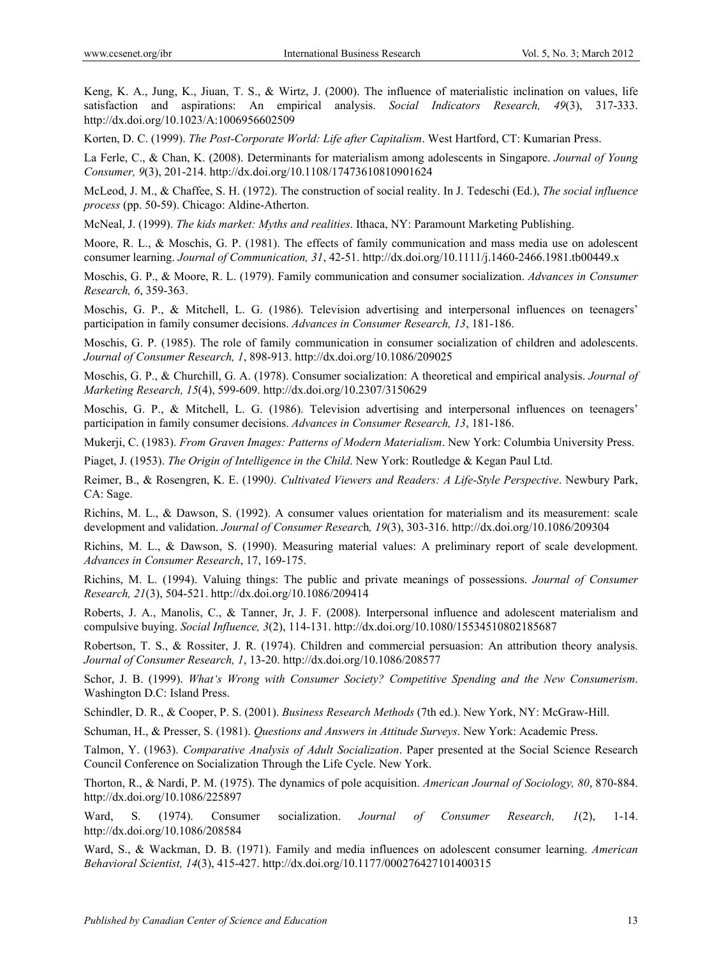Keng, K. A., Jung, K., Jiuan, T. S., & Wirtz, J. (2000). The influence of materialistic inclination on values, life satisfaction and aspirations: An empirical analysis. *Social Indicators Research, 49*(3), 317-333. http://dx.doi.org/10.1023/A:1006956602509

Korten, D. C. (1999). *The Post-Corporate World: Life after Capitalism*. West Hartford, CT: Kumarian Press.

La Ferle, C., & Chan, K. (2008). Determinants for materialism among adolescents in Singapore. *Journal of Young Consumer, 9*(3), 201-214. http://dx.doi.org/10.1108/17473610810901624

McLeod, J. M., & Chaffee, S. H. (1972). The construction of social reality. In J. Tedeschi (Ed.), *The social influence process* (pp. 50-59). Chicago: Aldine-Atherton.

McNeal, J. (1999). *The kids market: Myths and realities*. Ithaca, NY: Paramount Marketing Publishing.

Moore, R. L., & Moschis, G. P. (1981). The effects of family communication and mass media use on adolescent consumer learning. *Journal of Communication, 31*, 42-51. http://dx.doi.org/10.1111/j.1460-2466.1981.tb00449.x

Moschis, G. P., & Moore, R. L. (1979). Family communication and consumer socialization. *Advances in Consumer Research, 6*, 359-363.

Moschis, G. P., & Mitchell, L. G. (1986). Television advertising and interpersonal influences on teenagers' participation in family consumer decisions. *Advances in Consumer Research, 13*, 181-186.

Moschis, G. P. (1985). The role of family communication in consumer socialization of children and adolescents. *Journal of Consumer Research, 1*, 898-913. http://dx.doi.org/10.1086/209025

Moschis, G. P., & Churchill, G. A. (1978). Consumer socialization: A theoretical and empirical analysis. *Journal of Marketing Research, 15*(4), 599-609. http://dx.doi.org/10.2307/3150629

Moschis, G. P., & Mitchell, L. G. (1986). Television advertising and interpersonal influences on teenagers' participation in family consumer decisions. *Advances in Consumer Research, 13*, 181-186.

Mukerji, C. (1983). *From Graven Images: Patterns of Modern Materialism*. New York: Columbia University Press.

Piaget, J. (1953). *The Origin of Intelligence in the Child*. New York: Routledge & Kegan Paul Ltd.

Reimer, B., & Rosengren, K. E. (1990*). Cultivated Viewers and Readers: A Life-Style Perspective*. Newbury Park, CA: Sage.

Richins, M. L., & Dawson, S. (1992). A consumer values orientation for materialism and its measurement: scale development and validation. *Journal of Consumer Researc*h*, 19*(3), 303-316. http://dx.doi.org/10.1086/209304

Richins, M. L., & Dawson, S. (1990). Measuring material values: A preliminary report of scale development. *Advances in Consumer Research*, 17, 169-175.

Richins, M. L. (1994). Valuing things: The public and private meanings of possessions. *Journal of Consumer Research, 21*(3), 504-521. http://dx.doi.org/10.1086/209414

Roberts, J. A., Manolis, C., & Tanner, Jr, J. F. (2008). Interpersonal influence and adolescent materialism and compulsive buying. *Social Influence, 3*(2), 114-131. http://dx.doi.org/10.1080/15534510802185687

Robertson, T. S., & Rossiter, J. R. (1974). Children and commercial persuasion: An attribution theory analysis. *Journal of Consumer Research, 1*, 13-20. http://dx.doi.org/10.1086/208577

Schor, J. B. (1999). *What's Wrong with Consumer Society? Competitive Spending and the New Consumerism*. Washington D.C: Island Press.

Schindler, D. R., & Cooper, P. S. (2001). *Business Research Methods* (7th ed.). New York, NY: McGraw-Hill.

Schuman, H., & Presser, S. (1981). *Questions and Answers in Attitude Surveys*. New York: Academic Press.

Talmon, Y. (1963). *Comparative Analysis of Adult Socialization*. Paper presented at the Social Science Research Council Conference on Socialization Through the Life Cycle. New York.

Thorton, R., & Nardi, P. M. (1975). The dynamics of pole acquisition. *American Journal of Sociology, 80*, 870-884. http://dx.doi.org/10.1086/225897

Ward, S. (1974). Consumer socialization. *Journal of Consumer Research, 1*(2), 1-14. http://dx.doi.org/10.1086/208584

Ward, S., & Wackman, D. B. (1971). Family and media influences on adolescent consumer learning. *American Behavioral Scientist, 14*(3), 415-427. http://dx.doi.org/10.1177/000276427101400315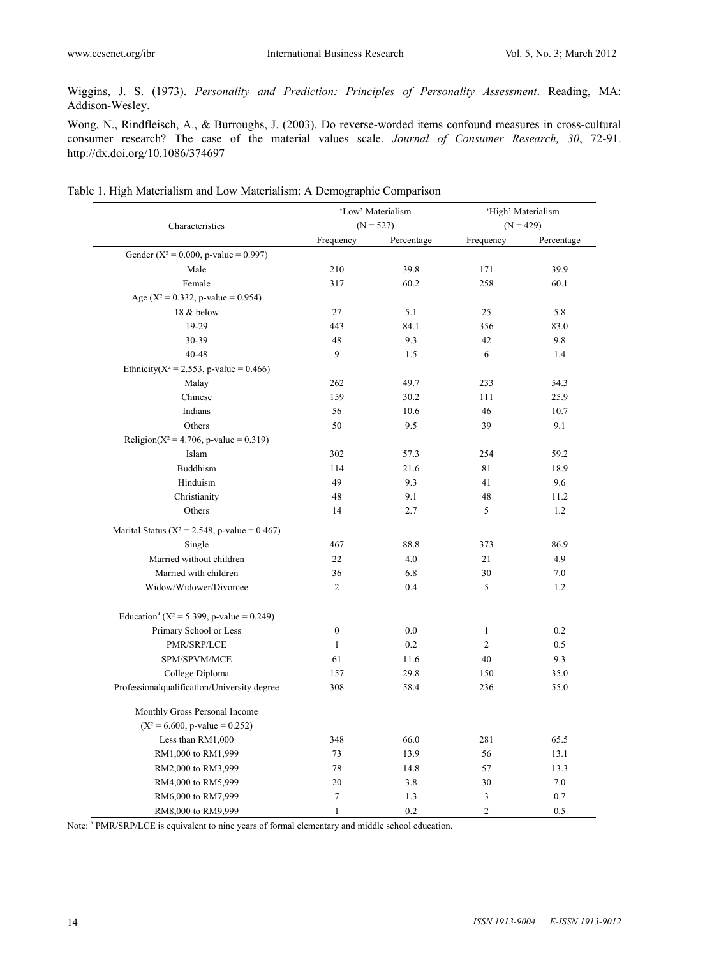Wiggins, J. S. (1973). *Personality and Prediction: Principles of Personality Assessment*. Reading, MA: Addison-Wesley.

Wong, N., Rindfleisch, A., & Burroughs, J. (2003). Do reverse-worded items confound measures in cross-cultural consumer research? The case of the material values scale. *Journal of Consumer Research, 30*, 72-91. http://dx.doi.org/10.1086/374697

|  |  | Table 1. High Materialism and Low Materialism: A Demographic Comparison |  |  |
|--|--|-------------------------------------------------------------------------|--|--|
|  |  |                                                                         |  |  |

|                                                           | 'Low' Materialism |             | 'High' Materialism |             |
|-----------------------------------------------------------|-------------------|-------------|--------------------|-------------|
| Characteristics                                           |                   | $(N = 527)$ |                    | $(N = 429)$ |
|                                                           | Frequency         | Percentage  | Frequency          | Percentage  |
| Gender ( $X^2 = 0.000$ , p-value = 0.997)                 |                   |             |                    |             |
| Male                                                      | 210               | 39.8        | 171                | 39.9        |
| Female                                                    | 317               | 60.2        | 258                | 60.1        |
| Age ( $X^2 = 0.332$ , p-value = 0.954)                    |                   |             |                    |             |
| 18 & below                                                | 27                | 5.1         | 25                 | 5.8         |
| 19-29                                                     | 443               | 84.1        | 356                | 83.0        |
| 30-39                                                     | 48                | 9.3         | 42                 | 9.8         |
| 40-48                                                     | 9                 | 1.5         | 6                  | 1.4         |
| Ethnicity( $X^2 = 2.553$ , p-value = 0.466)               |                   |             |                    |             |
| Malay                                                     | 262               | 49.7        | 233                | 54.3        |
| Chinese                                                   | 159               | 30.2        | 111                | 25.9        |
| Indians                                                   | 56                | 10.6        | 46                 | 10.7        |
| Others                                                    | 50                | 9.5         | 39                 | 9.1         |
| Religion( $X^2 = 4.706$ , p-value = 0.319)                |                   |             |                    |             |
| Islam                                                     | 302               | 57.3        | 254                | 59.2        |
| <b>Buddhism</b>                                           | 114               | 21.6        | 81                 | 18.9        |
| Hinduism                                                  | 49                | 9.3         | 41                 | 9.6         |
| Christianity                                              | 48                | 9.1         | 48                 | 11.2        |
| Others                                                    | 14                | 2.7         | 5                  | 1.2         |
| Marital Status ( $X^2 = 2.548$ , p-value = 0.467)         |                   |             |                    |             |
| Single                                                    | 467               | 88.8        | 373                | 86.9        |
| Married without children                                  | 22                | 4.0         | 21                 | 4.9         |
| Married with children                                     | 36                | 6.8         | 30                 | 7.0         |
| Widow/Widower/Divorcee                                    | $\overline{2}$    | 0.4         | 5                  | 1.2         |
| Education <sup>a</sup> ( $X^2 = 5.399$ , p-value = 0.249) |                   |             |                    |             |
| Primary School or Less                                    | $\boldsymbol{0}$  | 0.0         | $\mathbf{1}$       | 0.2         |
| PMR/SRP/LCE                                               | $\mathbf{1}$      | 0.2         | $\overline{2}$     | 0.5         |
| SPM/SPVM/MCE                                              | 61                | 11.6        | 40                 | 9.3         |
| College Diploma                                           | 157               | 29.8        | 150                | 35.0        |
| Professionalqualification/University degree               | 308               | 58.4        | 236                | 55.0        |
| Monthly Gross Personal Income                             |                   |             |                    |             |
| $(X^2 = 6.600, p-value = 0.252)$                          |                   |             |                    |             |
| Less than RM1,000                                         | 348               | 66.0        | 281                | 65.5        |
| RM1,000 to RM1,999                                        | 73                | 13.9        | 56                 | 13.1        |
| RM2,000 to RM3,999                                        | 78                | 14.8        | 57                 | 13.3        |
| RM4,000 to RM5,999                                        | 20                | 3.8         | 30                 | 7.0         |
| RM6,000 to RM7,999                                        | $\boldsymbol{7}$  | 1.3         | 3                  | 0.7         |
| RM8,000 to RM9,999                                        | $\mathbf{1}$      | 0.2         | $\overline{2}$     | 0.5         |

Note: <sup>a</sup> PMR/SRP/LCE is equivalent to nine years of formal elementary and middle school education.